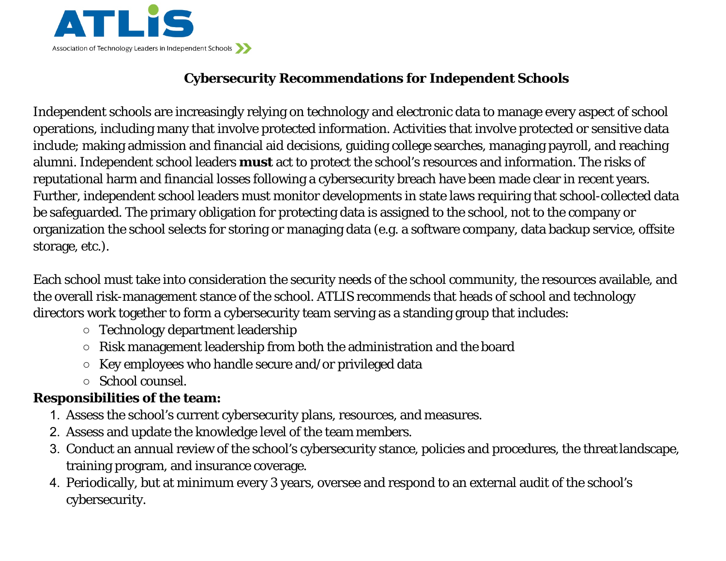

## **Cybersecurity Recommendations for Independent Schools**

Independent schools are increasingly relying on technology and electronic data to manage every aspect of school operations, including many that involve protected information. Activities that involve protected or sensitive data include; making admission and financial aid decisions, guiding college searches, managing payroll, and reaching alumni. Independent school leaders **must** act to protect the school's resources and information. The risks of reputational harm and financial losses following a cybersecurity breach have been made clear in recent years. Further, independent school leaders must monitor developments in state laws requiring that school-collected data be safeguarded. The primary obligation for protecting data is assigned to the school, not to the company or organization the school selects for storing or managing data (e.g. a software company, data backup service, offsite storage, etc.).

Each school must take into consideration the security needs of the school community, the resources available, and the overall risk-management stance of the school. ATLIS recommends that heads of school and technology directors work together to form a cybersecurity team serving as a standing group that includes:

- Technology department leadership
- Risk management leadership from both the administration and the board
- Key employees who handle secure and/or privileged data
- School counsel.

## **Responsibilities of the team:**

- 1. Assess the school's current cybersecurity plans, resources, and measures.
- 2. Assess and update the knowledge level of the team members.
- 3. Conduct an annual review of the school's cybersecurity stance, policies and procedures, the threatlandscape, training program, and insurance coverage.
- 4. Periodically, but at minimum every 3 years, oversee and respond to an external audit of the school's cybersecurity.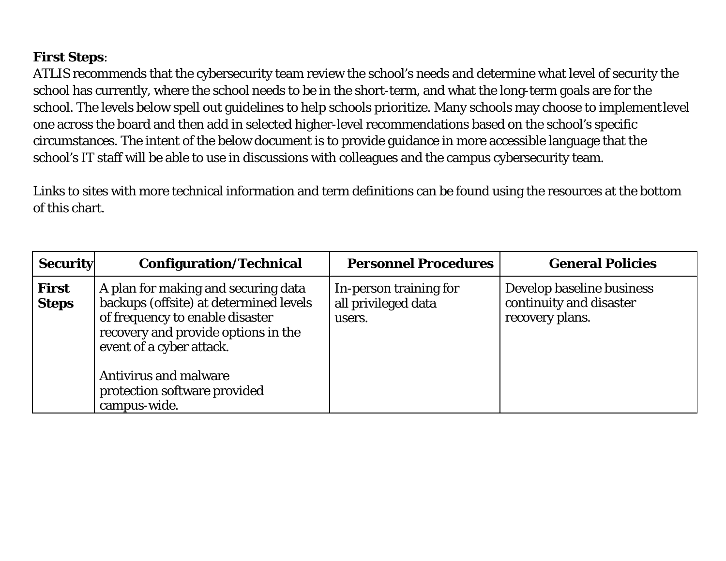## **First Steps**:

ATLIS recommends that the cybersecurity team review the school's needs and determine what level of security the school has currently, where the school needs to be in the short-term, and what the long-term goals are for the school. The levels below spell out guidelines to help schools prioritize. Many schools may choose to implementlevel one across the board and then add in selected higher-level recommendations based on the school's specific circumstances. The intent of the below document is to provide guidance in more accessible language that the school's IT staff will be able to use in discussions with colleagues and the campus cybersecurity team.

Links to sites with more technical information and term definitions can be found using the resources at the bottom of this chart.

| <b>Security</b>              | <b>Configuration/Technical</b>                                                                                                                                                      | <b>Personnel Procedures</b>                             | <b>General Policies</b>                                                 |
|------------------------------|-------------------------------------------------------------------------------------------------------------------------------------------------------------------------------------|---------------------------------------------------------|-------------------------------------------------------------------------|
| <b>First</b><br><b>Steps</b> | A plan for making and securing data<br>backups (offsite) at determined levels<br>of frequency to enable disaster<br>recovery and provide options in the<br>event of a cyber attack. | In-person training for<br>all privileged data<br>users. | Develop baseline business<br>continuity and disaster<br>recovery plans. |
|                              | <b>Antivirus and malware</b><br>protection software provided<br>campus-wide.                                                                                                        |                                                         |                                                                         |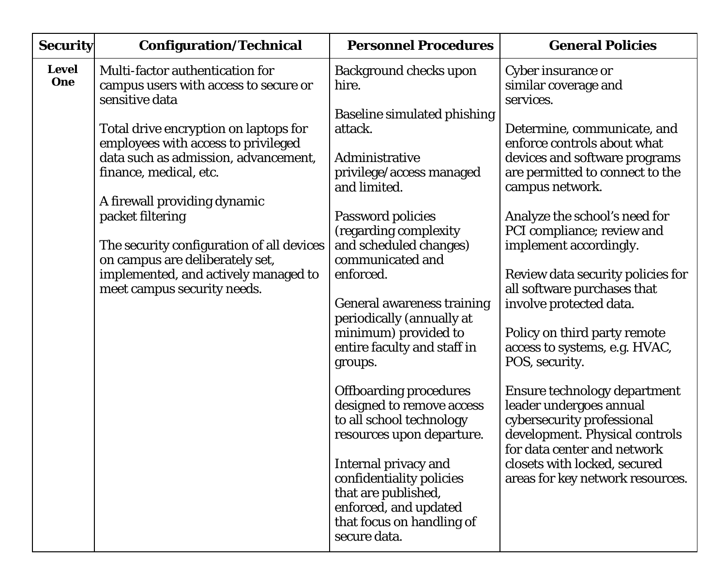| <b>Security</b>     | <b>Configuration/Technical</b>                                                                                       | <b>Personnel Procedures</b>                                                                                                                   | <b>General Policies</b>                                                                                                                                |
|---------------------|----------------------------------------------------------------------------------------------------------------------|-----------------------------------------------------------------------------------------------------------------------------------------------|--------------------------------------------------------------------------------------------------------------------------------------------------------|
| <b>Level</b><br>One | Multi-factor authentication for<br>campus users with access to secure or<br>sensitive data                           | <b>Background checks upon</b><br>hire.                                                                                                        | Cyber insurance or<br>similar coverage and<br>services.                                                                                                |
|                     | Total drive encryption on laptops for<br>employees with access to privileged                                         | <b>Baseline simulated phishing</b><br>attack.                                                                                                 | Determine, communicate, and<br>enforce controls about what                                                                                             |
|                     | data such as admission, advancement,<br>finance, medical, etc.                                                       | Administrative<br>privilege/access managed<br>and limited.                                                                                    | devices and software programs<br>are permitted to connect to the<br>campus network.                                                                    |
|                     | A firewall providing dynamic<br>packet filtering                                                                     | Password policies<br>(regarding complexity                                                                                                    | Analyze the school's need for<br>PCI compliance; review and                                                                                            |
|                     | The security configuration of all devices<br>on campus are deliberately set,<br>implemented, and actively managed to | and scheduled changes)<br>communicated and<br>enforced.                                                                                       | implement accordingly.<br>Review data security policies for                                                                                            |
|                     | meet campus security needs.                                                                                          | <b>General awareness training</b>                                                                                                             | all software purchases that<br>involve protected data.                                                                                                 |
|                     |                                                                                                                      | periodically (annually at<br>minimum) provided to<br>entire faculty and staff in<br>groups.                                                   | Policy on third party remote<br>access to systems, e.g. HVAC,<br>POS, security.                                                                        |
|                     |                                                                                                                      | <b>Offboarding procedures</b><br>designed to remove access<br>to all school technology<br>resources upon departure.                           | Ensure technology department<br>leader undergoes annual<br>cybersecurity professional<br>development. Physical controls<br>for data center and network |
|                     |                                                                                                                      | Internal privacy and<br>confidentiality policies<br>that are published,<br>enforced, and updated<br>that focus on handling of<br>secure data. | closets with locked, secured<br>areas for key network resources.                                                                                       |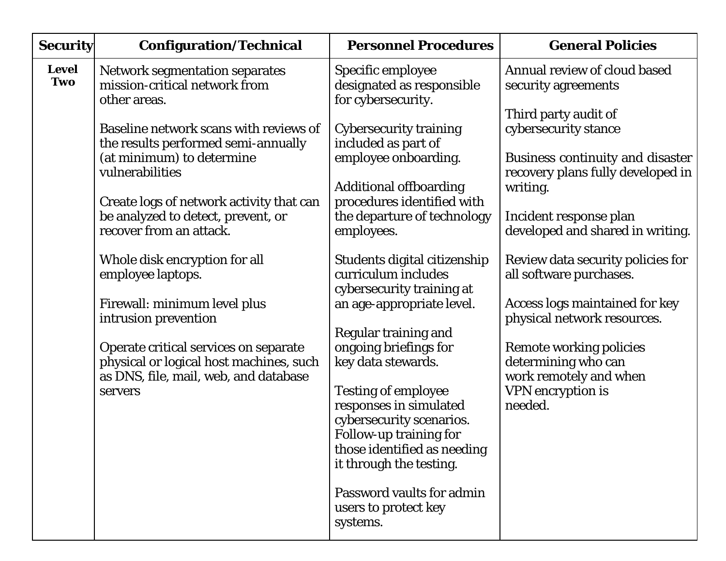| <b>Security</b>     | <b>Configuration/Technical</b>                                                                                                       | <b>Personnel Procedures</b>                                                                                                                                                                                         | <b>General Policies</b>                                                                                                      |
|---------------------|--------------------------------------------------------------------------------------------------------------------------------------|---------------------------------------------------------------------------------------------------------------------------------------------------------------------------------------------------------------------|------------------------------------------------------------------------------------------------------------------------------|
| <b>Level</b><br>Two | <b>Network segmentation separates</b><br>mission-critical network from<br>other areas.                                               | Specific employee<br>designated as responsible<br>for cybersecurity.                                                                                                                                                | Annual review of cloud based<br>security agreements                                                                          |
|                     | Baseline network scans with reviews of<br>the results performed semi-annually<br>(at minimum) to determine<br>vulnerabilities        | <b>Cybersecurity training</b><br>included as part of<br>employee onboarding.                                                                                                                                        | Third party audit of<br>cybersecurity stance<br><b>Business continuity and disaster</b><br>recovery plans fully developed in |
|                     | Create logs of network activity that can<br>be analyzed to detect, prevent, or<br>recover from an attack.                            | <b>Additional offboarding</b><br>procedures identified with<br>the departure of technology<br>employees.                                                                                                            | writing.<br>Incident response plan<br>developed and shared in writing.                                                       |
|                     | Whole disk encryption for all<br>employee laptops.                                                                                   | Students digital citizenship<br>curriculum includes<br>cybersecurity training at                                                                                                                                    | Review data security policies for<br>all software purchases.                                                                 |
|                     | Firewall: minimum level plus<br>intrusion prevention                                                                                 | an age-appropriate level.<br>Regular training and                                                                                                                                                                   | <b>Access logs maintained for key</b><br>physical network resources.                                                         |
|                     | Operate critical services on separate<br>physical or logical host machines, such<br>as DNS, file, mail, web, and database<br>servers | ongoing briefings for<br>key data stewards.<br><b>Testing of employee</b><br>responses in simulated<br>cybersecurity scenarios.<br>Follow-up training for<br>those identified as needing<br>it through the testing. | <b>Remote working policies</b><br>determining who can<br>work remotely and when<br><b>VPN</b> encryption is<br>needed.       |
|                     |                                                                                                                                      | Password vaults for admin<br>users to protect key<br>systems.                                                                                                                                                       |                                                                                                                              |